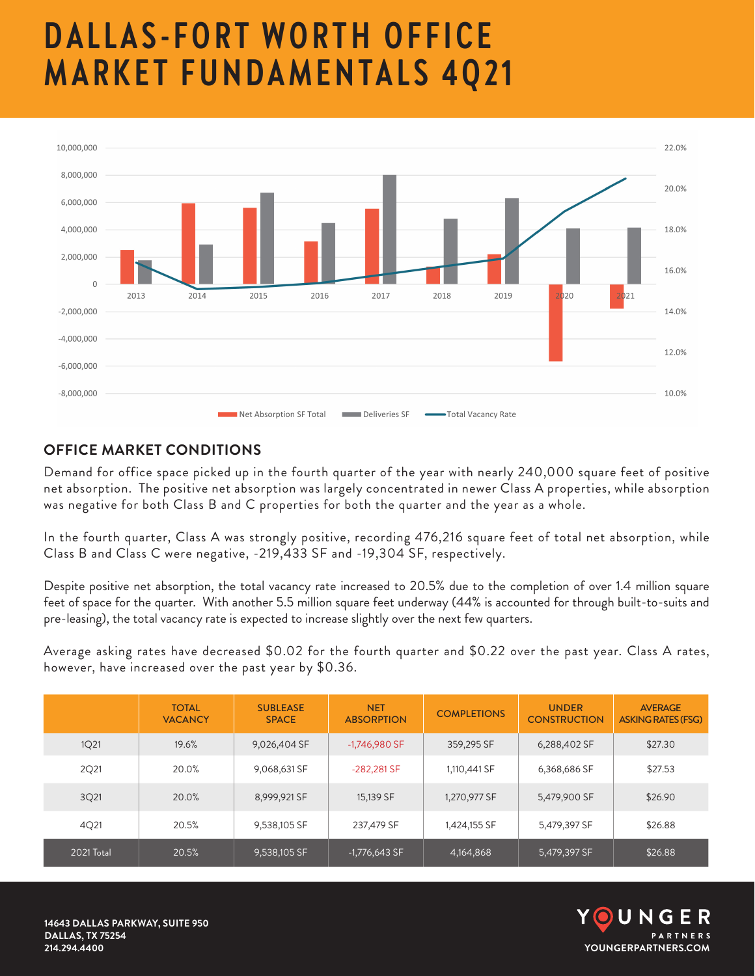## **DALLAS-FORT WORTH OFFICE MARKET FUNDAMENTALS 4Q21**



## **OFFICE MARKET CONDITIONS**

Demand for office space picked up in the fourth quarter of the year with nearly 240,000 square feet of positive net absorption. The positive net absorption was largely concentrated in newer Class A properties, while absorption was negative for both Class B and C properties for both the quarter and the year as a whole.

In the fourth quarter, Class A was strongly positive, recording 476,216 square feet of total net absorption, while Class B and Class C were negative, -219,433 SF and -19,304 SF, respectively.

Despite positive net absorption, the total vacancy rate increased to 20.5% due to the completion of over 1.4 million square feet of space for the quarter. With another 5.5 million square feet underway (44% is accounted for through built-to-suits and pre-leasing), the total vacancy rate is expected to increase slightly over the next few quarters.

Average asking rates have decreased \$0.02 for the fourth quarter and \$0.22 over the past year. Class A rates, however, have increased over the past year by \$0.36.

|            | <b>TOTAL</b><br><b>VACANCY</b> | <b>SUBLEASE</b><br><b>SPACE</b> | <b>NET</b><br><b>ABSORPTION</b> | <b>COMPLETIONS</b> | <b>UNDER</b><br><b>CONSTRUCTION</b> | <b>AVERAGE</b><br><b>ASKING RATES (FSG)</b> |
|------------|--------------------------------|---------------------------------|---------------------------------|--------------------|-------------------------------------|---------------------------------------------|
| 1Q21       | 19.6%                          | 9,026,404 SF                    | $-1,746,980$ SF                 | 359,295 SF         | 6,288,402 SF                        | \$27.30                                     |
| 2Q21       | 20.0%                          | 9,068,631 SF                    | -282,281 SF                     | 1,110,441 SF       | 6,368,686 SF                        | \$27.53                                     |
| 3Q21       | 20.0%                          | 8,999,921 SF                    | 15,139 SF                       | 1,270,977 SF       | 5,479,900 SF                        | \$26.90                                     |
| 4Q21       | 20.5%                          | 9,538,105 SF                    | 237,479 SF                      | 1,424,155 SF       | 5,479,397 SF                        | \$26.88                                     |
| 2021 Total | 20.5%                          | 9,538,105 SF                    | $-1,776,643$ SF                 | 4,164,868          | 5,479,397 SF                        | \$26.88                                     |